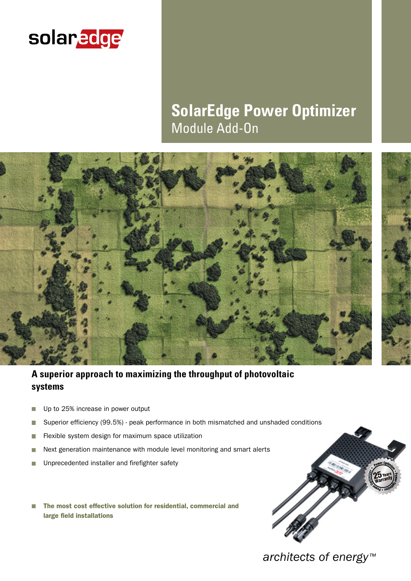

# **SolarEdge Power Optimizer** Module Add-On



## **A superior approach to maximizing the throughput of photovoltaic systems**

- Up to 25% increase in power output П
- Superior efficiency (99.5%) peak performance in both mismatched and unshaded conditions п
- T. Flexible system design for maximum space utilization
- Next generation maintenance with module level monitoring and smart alerts П
- Unprecedented installer and firefighter safety П
- The most cost effective solution for residential, commercial and r. large field installations



*architects of energy™*